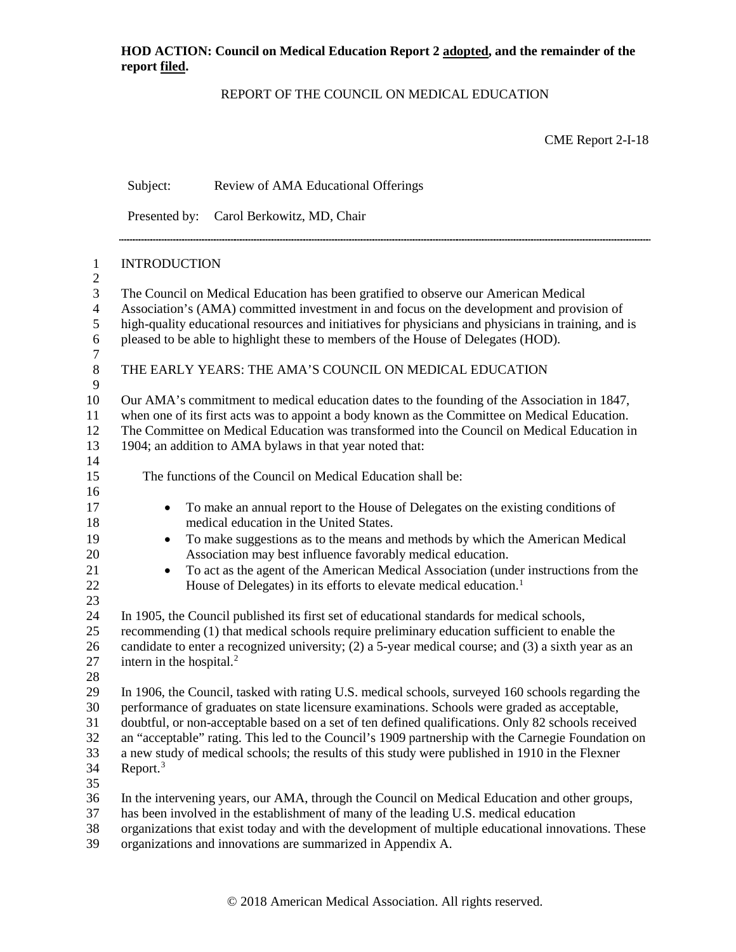## REPORT OF THE COUNCIL ON MEDICAL EDUCATION

CME Report 2-I-18

|                   | Subject:                                                                                             | Review of AMA Educational Offerings                                                                                                                               |  |  |  |
|-------------------|------------------------------------------------------------------------------------------------------|-------------------------------------------------------------------------------------------------------------------------------------------------------------------|--|--|--|
|                   |                                                                                                      | Presented by: Carol Berkowitz, MD, Chair                                                                                                                          |  |  |  |
| $\mathbf{1}$      | <b>INTRODUCTION</b>                                                                                  |                                                                                                                                                                   |  |  |  |
| $\mathbf{2}$<br>3 | The Council on Medical Education has been gratified to observe our American Medical                  |                                                                                                                                                                   |  |  |  |
| $\overline{4}$    |                                                                                                      | Association's (AMA) committed investment in and focus on the development and provision of                                                                         |  |  |  |
| 5                 | high-quality educational resources and initiatives for physicians and physicians in training, and is |                                                                                                                                                                   |  |  |  |
| 6<br>$\tau$       | pleased to be able to highlight these to members of the House of Delegates (HOD).                    |                                                                                                                                                                   |  |  |  |
| $\,8\,$<br>9      |                                                                                                      | THE EARLY YEARS: THE AMA'S COUNCIL ON MEDICAL EDUCATION                                                                                                           |  |  |  |
| 10                |                                                                                                      | Our AMA's commitment to medical education dates to the founding of the Association in 1847,                                                                       |  |  |  |
| 11                |                                                                                                      | when one of its first acts was to appoint a body known as the Committee on Medical Education.                                                                     |  |  |  |
| 12                | The Committee on Medical Education was transformed into the Council on Medical Education in          |                                                                                                                                                                   |  |  |  |
| 13                |                                                                                                      | 1904; an addition to AMA bylaws in that year noted that:                                                                                                          |  |  |  |
| 14                |                                                                                                      |                                                                                                                                                                   |  |  |  |
| 15                |                                                                                                      | The functions of the Council on Medical Education shall be:                                                                                                       |  |  |  |
| 16<br>17          |                                                                                                      | To make an annual report to the House of Delegates on the existing conditions of                                                                                  |  |  |  |
| 18                | ٠                                                                                                    | medical education in the United States.                                                                                                                           |  |  |  |
| 19                | $\bullet$                                                                                            | To make suggestions as to the means and methods by which the American Medical                                                                                     |  |  |  |
| 20                |                                                                                                      | Association may best influence favorably medical education.                                                                                                       |  |  |  |
| 21                | $\bullet$                                                                                            | To act as the agent of the American Medical Association (under instructions from the                                                                              |  |  |  |
| 22                |                                                                                                      | House of Delegates) in its efforts to elevate medical education. <sup>1</sup>                                                                                     |  |  |  |
| 23                |                                                                                                      |                                                                                                                                                                   |  |  |  |
| 24                |                                                                                                      | In 1905, the Council published its first set of educational standards for medical schools,                                                                        |  |  |  |
| 25                | recommending (1) that medical schools require preliminary education sufficient to enable the         |                                                                                                                                                                   |  |  |  |
| 26                | candidate to enter a recognized university; (2) a 5-year medical course; and (3) a sixth year as an  |                                                                                                                                                                   |  |  |  |
| 27                | intern in the hospital. <sup>2</sup>                                                                 |                                                                                                                                                                   |  |  |  |
| 28<br>29          |                                                                                                      | In 1906, the Council, tasked with rating U.S. medical schools, surveyed 160 schools regarding the                                                                 |  |  |  |
| 30                |                                                                                                      | performance of graduates on state licensure examinations. Schools were graded as acceptable,                                                                      |  |  |  |
| 31                |                                                                                                      | doubtful, or non-acceptable based on a set of ten defined qualifications. Only 82 schools received                                                                |  |  |  |
| 32                | an "acceptable" rating. This led to the Council's 1909 partnership with the Carnegie Foundation on   |                                                                                                                                                                   |  |  |  |
| 33                | a new study of medical schools; the results of this study were published in 1910 in the Flexner      |                                                                                                                                                                   |  |  |  |
| 34                | Report. $3$                                                                                          |                                                                                                                                                                   |  |  |  |
| 35                |                                                                                                      |                                                                                                                                                                   |  |  |  |
| 36                |                                                                                                      | In the intervening years, our AMA, through the Council on Medical Education and other groups,                                                                     |  |  |  |
| 37                |                                                                                                      | has been involved in the establishment of many of the leading U.S. medical education                                                                              |  |  |  |
|                   |                                                                                                      |                                                                                                                                                                   |  |  |  |
| 38<br>39          |                                                                                                      | organizations that exist today and with the development of multiple educational innovations. These<br>organizations and innovations are summarized in Appendix A. |  |  |  |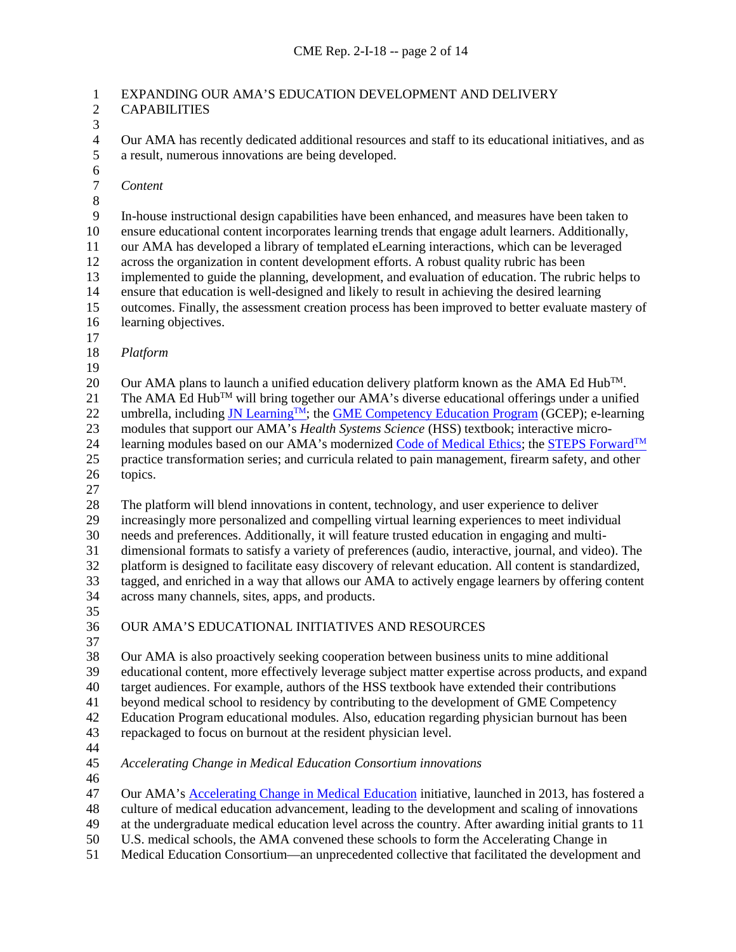### 1 EXPANDING OUR AMA'S EDUCATION DEVELOPMENT AND DELIVERY CAPABILITIES **CAPABILITIES**

 $\frac{3}{4}$ 

4 Our AMA has recently dedicated additional resources and staff to its educational initiatives, and as a result, numerous innovations are being developed. a result, numerous innovations are being developed.

6<br>7

*Content*

 $\begin{array}{c} 8 \\ 9 \end{array}$ 

In-house instructional design capabilities have been enhanced, and measures have been taken to ensure educational content incorporates learning trends that engage adult learners. Additionally, our AMA has developed a library of templated eLearning interactions, which can be leveraged across the organization in content development efforts. A robust quality rubric has been implemented to guide the planning, development, and evaluation of education. The rubric helps to ensure that education is well-designed and likely to result in achieving the desired learning outcomes. Finally, the assessment creation process has been improved to better evaluate mastery of learning objectives. 

*Platform*

Our AMA plans to launch a unified education delivery platform known as the AMA Ed Hub<sup>TM</sup>.

21 The AMA Ed Hub<sup>TM</sup> will bring together our AMA's diverse educational offerings under a unified

22 umbrella, including JN Learning<sup>TM</sup>; the [GME Competency Education Program](https://www.ama-assn.org/ama-gme-competency-education-program) (GCEP); e-learning

23 modules that support our AMA's *Health Systems Science* (HSS) textbook; interactive micro-<br>24 learning modules based on our AMA's modernized Code of Medical Ethics; the STEPS Forw

learning modules based on our AMA's modernize[d Code of Medical Ethics;](https://www.ama-assn.org/delivering-care/ama-code-medical-ethics) the STEPS Forward<sup>TM</sup>

 practice transformation series; and curricula related to pain management, firearm safety, and other topics.

The platform will blend innovations in content, technology, and user experience to deliver

increasingly more personalized and compelling virtual learning experiences to meet individual

needs and preferences. Additionally, it will feature trusted education in engaging and multi-

dimensional formats to satisfy a variety of preferences (audio, interactive, journal, and video). The

 platform is designed to facilitate easy discovery of relevant education. All content is standardized, tagged, and enriched in a way that allows our AMA to actively engage learners by offering content

- across many channels, sites, apps, and products.
- 
- OUR AMA'S EDUCATIONAL INITIATIVES AND RESOURCES
- 

 Our AMA is also proactively seeking cooperation between business units to mine additional educational content, more effectively leverage subject matter expertise across products, and expand target audiences. For example, authors of the HSS textbook have extended their contributions beyond medical school to residency by contributing to the development of GME Competency Education Program educational modules. Also, education regarding physician burnout has been

repackaged to focus on burnout at the resident physician level.

*Accelerating Change in Medical Education Consortium innovations* 

Our AMA's [Accelerating Change in Medical Education](https://www.ama-assn.org/education/creating-medical-school-future) initiative, launched in 2013, has fostered a

culture of medical education advancement, leading to the development and scaling of innovations

at the undergraduate medical education level across the country. After awarding initial grants to 11

U.S. medical schools, the AMA convened these schools to form the Accelerating Change in

Medical Education Consortium—an unprecedented collective that facilitated the development and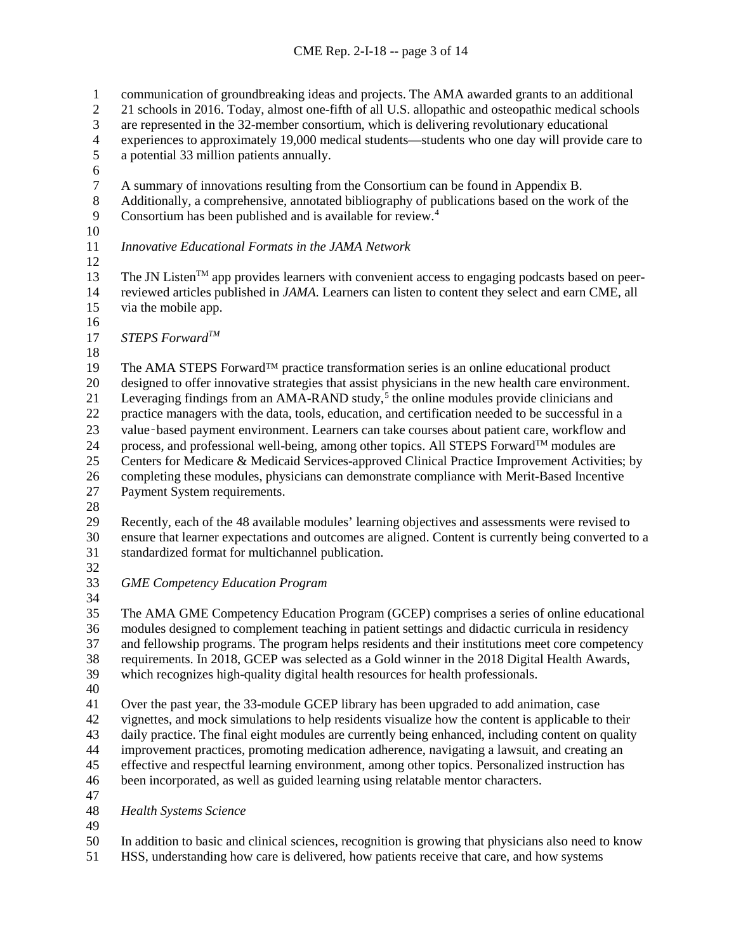1 communication of groundbreaking ideas and projects. The AMA awarded grants to an additional<br>2 21 schools in 2016. Today, almost one-fifth of all U.S. allopathic and osteopathic medical schools 21 schools in 2016. Today, almost one-fifth of all U.S. allopathic and osteopathic medical schools 3 are represented in the 32-member consortium, which is delivering revolutionary educational<br>4 experiences to approximately 19,000 medical students—students who one day will provide c 4 experiences to approximately 19,000 medical students—students who one day will provide care to a potential 33 million patients annually. a potential 33 million patients annually. 6<br>7 7 A summary of innovations resulting from the Consortium can be found in Appendix B.<br>8 Additionally, a comprehensive, annotated bibliography of publications based on the wor 8 Additionally, a comprehensive, annotated bibliography of publications based on the work of the<br>9 Consortium has been published and is available for review.<sup>4</sup> Consortium has been published and is available for review. *Innovative Educational Formats in the JAMA Network*  The JN Listen<sup>TM</sup> app provides learners with convenient access to engaging podcasts based on peer- reviewed articles published in *JAMA*. Learners can listen to content they select and earn CME, all via the mobile app. *STEPS ForwardTM* The AMA STEPS Forward™ practice transformation series is an online educational product designed to offer innovative strategies that assist physicians in the new health care environment. 21 Leveraging findings from an AMA-RAND study,<sup>[5](#page-12-4)</sup> the online modules provide clinicians and practice managers with the data, tools, education, and certification needed to be successful in a 23 value-based payment environment. Learners can take courses about patient care, workflow and 24 process, and professional well-being, among other topics. All STEPS Forward<sup>TM</sup> modules are Centers for Medicare & Medicaid Services-approved Clinical Practice Improvement Activities; by completing these modules, physicians can demonstrate compliance with Merit-Based Incentive Payment System requirements. Recently, each of the 48 available modules' learning objectives and assessments were revised to ensure that learner expectations and outcomes are aligned. Content is currently being converted to a standardized format for multichannel publication. *GME Competency Education Program*  The AMA GME Competency Education Program (GCEP) comprises a series of online educational modules designed to complement teaching in patient settings and didactic curricula in residency and fellowship programs. The program helps residents and their institutions meet core competency requirements. In 2018, GCEP was selected as a Gold winner in the 2018 Digital Health Awards, which recognizes high-quality digital health resources for health professionals. Over the past year, the 33-module GCEP library has been upgraded to add animation, case vignettes, and mock simulations to help residents visualize how the content is applicable to their daily practice. The final eight modules are currently being enhanced, including content on quality improvement practices, promoting medication adherence, navigating a lawsuit, and creating an effective and respectful learning environment, among other topics. Personalized instruction has been incorporated, as well as guided learning using relatable mentor characters. *Health Systems Science* In addition to basic and clinical sciences, recognition is growing that physicians also need to know

HSS, understanding how care is delivered, how patients receive that care, and how systems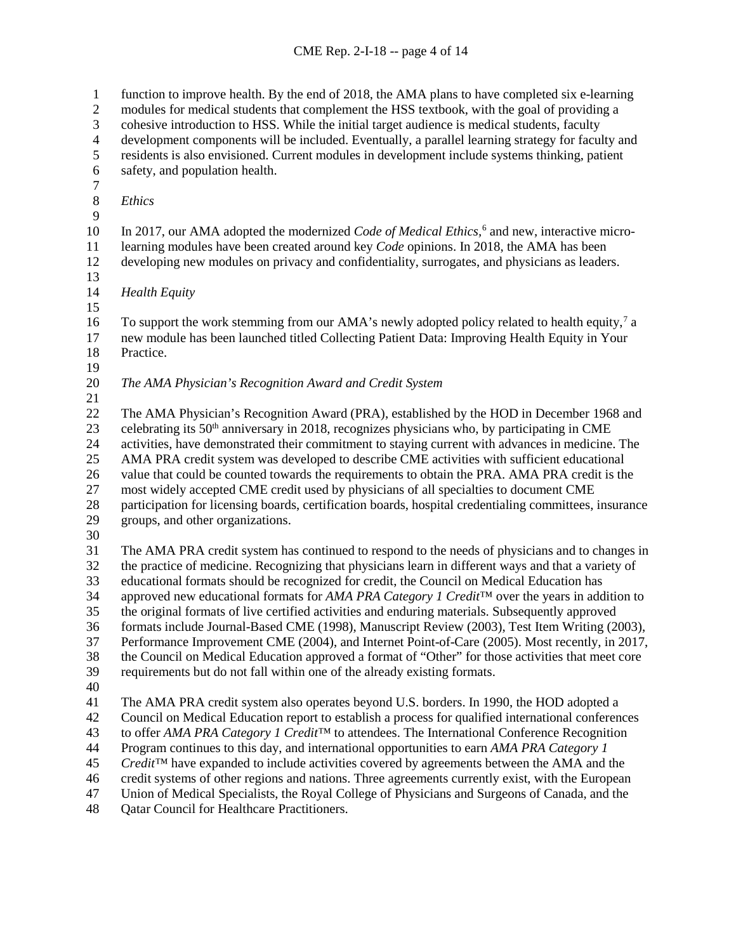1 function to improve health. By the end of 2018, the AMA plans to have completed six e-learning<br>2 modules for medical students that complement the HSS textbook, with the goal of providing a modules for medical students that complement the HSS textbook, with the goal of providing a cohesive introduction to HSS. While the initial target audience is medical students, faculty 4 development components will be included. Eventually, a parallel learning strategy for faculty and<br>5 residents is also envisioned. Current modules in development include systems thinking, patient residents is also envisioned. Current modules in development include systems thinking, patient safety, and population health.  $\frac{7}{8}$  *Ethics* 10 In 2017, our AMA adopted the modernized *Code of Medical Ethics*,<sup>[6](#page-12-5)</sup> and new, interactive micro- learning modules have been created around key *Code* opinions. In 2018, the AMA has been developing new modules on privacy and confidentiality, surrogates, and physicians as leaders. *Health Equity* 16 To support the work stemming from our AMA's newly adopted policy related to health equity,<sup>[7](#page-12-6)</sup> a new module has been launched titled Collecting Patient Data: Improving Health Equity in Your Practice. *The AMA Physician's Recognition Award and Credit System* The AMA Physician's Recognition Award (PRA), established by the HOD in December 1968 and celebrating its  $50<sup>th</sup>$  anniversary in 2018, recognizes physicians who, by participating in CME<br>24 activities, have demonstrated their commitment to staying current with advances in medicine. activities, have demonstrated their commitment to staying current with advances in medicine. The AMA PRA credit system was developed to describe CME activities with sufficient educational value that could be counted towards the requirements to obtain the PRA. AMA PRA credit is the most widely accepted CME credit used by physicians of all specialties to document CME participation for licensing boards, certification boards, hospital credentialing committees, insurance groups, and other organizations. 30<br>31 The AMA PRA credit system has continued to respond to the needs of physicians and to changes in the practice of medicine. Recognizing that physicians learn in different ways and that a variety of educational formats should be recognized for credit, the Council on Medical Education has approved new educational formats for *AMA PRA Category 1 Credit*™ over the years in addition to the original formats of live certified activities and enduring materials. Subsequently approved formats include Journal-Based CME (1998), Manuscript Review (2003), Test Item Writing (2003), Performance Improvement CME (2004), and Internet Point-of-Care (2005). Most recently, in 2017, the Council on Medical Education approved a format of "Other" for those activities that meet core requirements but do not fall within one of the already existing formats. The AMA PRA credit system also operates beyond U.S. borders. In 1990, the HOD adopted a Council on Medical Education report to establish a process for qualified international conferences to offer *AMA PRA Category 1 Credit™* to attendees. The International Conference Recognition Program continues to this day, and international opportunities to earn *AMA PRA Category 1* 

- *Credit™* have expanded to include activities covered by agreements between the AMA and the
- credit systems of other regions and nations. Three agreements currently exist, with the European
- Union of Medical Specialists, the Royal College of Physicians and Surgeons of Canada, and the
- Qatar Council for Healthcare Practitioners.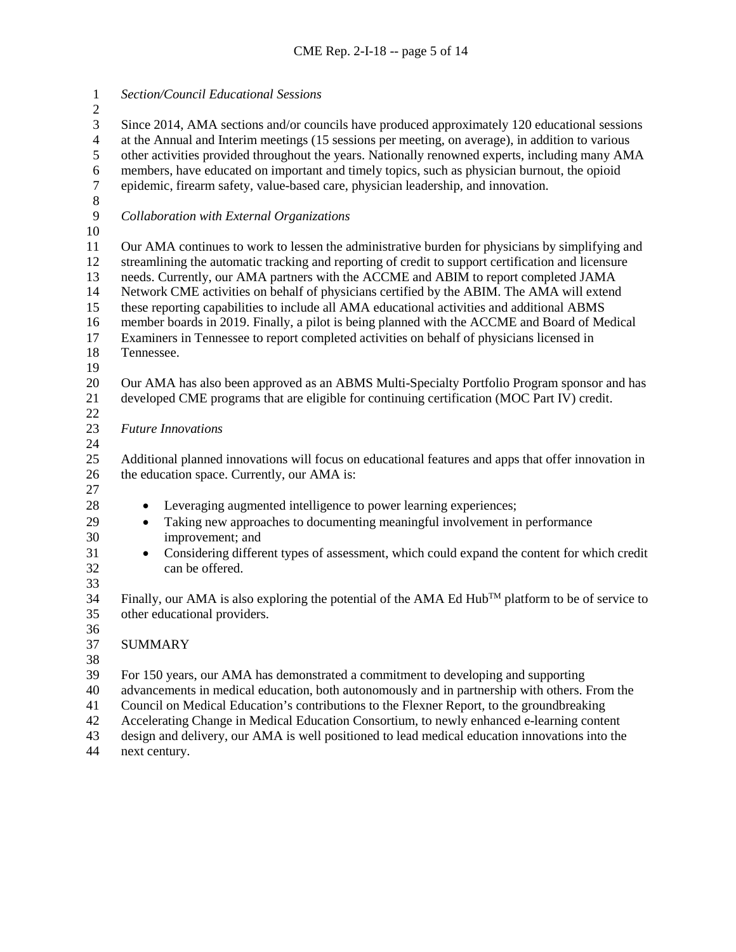*Section/Council Educational Sessions*  Since 2014, AMA sections and/or councils have produced approximately 120 educational sessions 4 at the Annual and Interim meetings (15 sessions per meeting, on average), in addition to various<br>5 other activities provided throughout the years. Nationally renowned experts, including many AM other activities provided throughout the years. Nationally renowned experts, including many AMA 6 members, have educated on important and timely topics, such as physician burnout, the opioid epidemic, firearm safety, value-based care, physician leadership, and innovation. epidemic, firearm safety, value-based care, physician leadership, and innovation.  $\begin{array}{c} 8 \\ 9 \end{array}$  *Collaboration with External Organizations*  Our AMA continues to work to lessen the administrative burden for physicians by simplifying and streamlining the automatic tracking and reporting of credit to support certification and licensure needs. Currently, our AMA partners with the ACCME and ABIM to report completed JAMA Network CME activities on behalf of physicians certified by the ABIM. The AMA will extend these reporting capabilities to include all AMA educational activities and additional ABMS member boards in 2019. Finally, a pilot is being planned with the ACCME and Board of Medical Examiners in Tennessee to report completed activities on behalf of physicians licensed in Tennessee. Our AMA has also been approved as an ABMS Multi-Specialty Portfolio Program sponsor and has developed CME programs that are eligible for continuing certification (MOC Part IV) credit. *Future Innovations*  Additional planned innovations will focus on educational features and apps that offer innovation in 26 the education space. Currently, our AMA is: • Leveraging augmented intelligence to power learning experiences; • Taking new approaches to documenting meaningful involvement in performance improvement; and <sup>31</sup> • Considering different types of assessment, which could expand the content for which credit can be offered. can be offered. Finally, our AMA is also exploring the potential of the AMA Ed Hub<sup>TM</sup> platform to be of service to other educational providers. SUMMARY For 150 years, our AMA has demonstrated a commitment to developing and supporting advancements in medical education, both autonomously and in partnership with others. From the Council on Medical Education's contributions to the Flexner Report, to the groundbreaking Accelerating Change in Medical Education Consortium, to newly enhanced e-learning content design and delivery, our AMA is well positioned to lead medical education innovations into the

next century.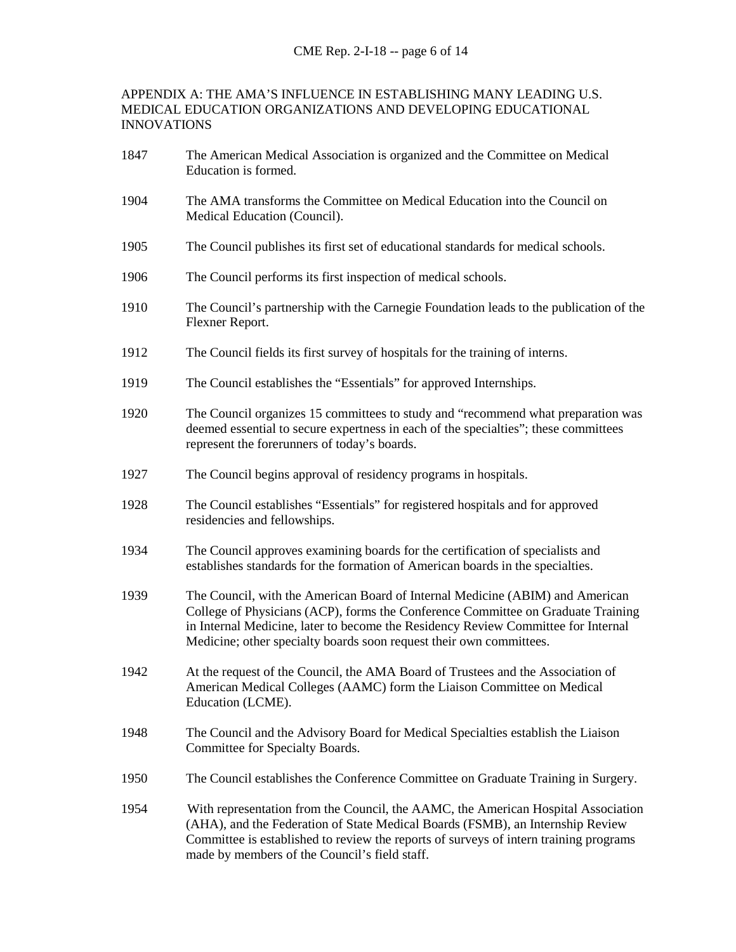#### APPENDIX A: THE AMA'S INFLUENCE IN ESTABLISHING MANY LEADING U.S. MEDICAL EDUCATION ORGANIZATIONS AND DEVELOPING EDUCATIONAL INNOVATIONS

- 1847 The American Medical Association is organized and the Committee on Medical Education is formed.
- 1904 The AMA transforms the Committee on Medical Education into the Council on Medical Education (Council).
- 1905 The Council publishes its first set of educational standards for medical schools.
- 1906 The Council performs its first inspection of medical schools.
- 1910 The Council's partnership with the Carnegie Foundation leads to the publication of the Flexner Report.
- 1912 The Council fields its first survey of hospitals for the training of interns.
- 1919 The Council establishes the "Essentials" for approved Internships.
- 1920 The Council organizes 15 committees to study and "recommend what preparation was deemed essential to secure expertness in each of the specialties"; these committees represent the forerunners of today's boards.
- 1927 The Council begins approval of residency programs in hospitals.
- 1928 The Council establishes "Essentials" for registered hospitals and for approved residencies and fellowships.
- 1934 The Council approves examining boards for the certification of specialists and establishes standards for the formation of American boards in the specialties.
- 1939 The Council, with the American Board of Internal Medicine (ABIM) and American College of Physicians (ACP), forms the Conference Committee on Graduate Training in Internal Medicine, later to become the Residency Review Committee for Internal Medicine; other specialty boards soon request their own committees.
- 1942 At the request of the Council, the AMA Board of Trustees and the Association of American Medical Colleges (AAMC) form the Liaison Committee on Medical Education (LCME).
- 1948 The Council and the Advisory Board for Medical Specialties establish the Liaison Committee for Specialty Boards.
- 1950 The Council establishes the Conference Committee on Graduate Training in Surgery.
- 1954 With representation from the Council, the AAMC, the American Hospital Association (AHA), and the Federation of State Medical Boards (FSMB), an Internship Review Committee is established to review the reports of surveys of intern training programs made by members of the Council's field staff.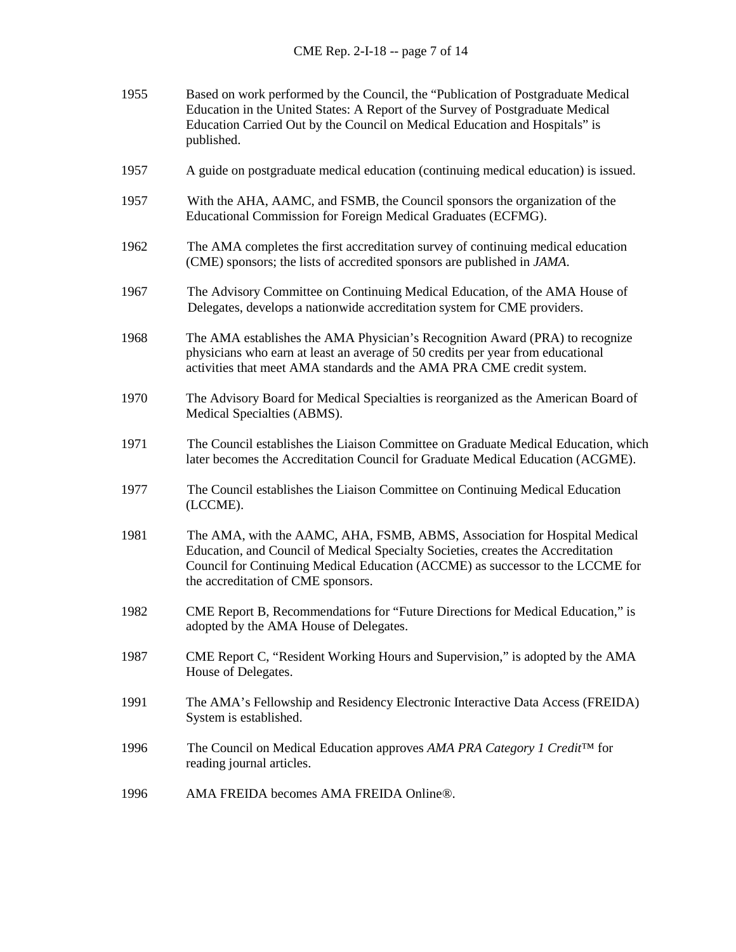| 1955 | Based on work performed by the Council, the "Publication of Postgraduate Medical<br>Education in the United States: A Report of the Survey of Postgraduate Medical<br>Education Carried Out by the Council on Medical Education and Hospitals" is<br>published.                       |
|------|---------------------------------------------------------------------------------------------------------------------------------------------------------------------------------------------------------------------------------------------------------------------------------------|
| 1957 | A guide on postgraduate medical education (continuing medical education) is issued.                                                                                                                                                                                                   |
| 1957 | With the AHA, AAMC, and FSMB, the Council sponsors the organization of the<br>Educational Commission for Foreign Medical Graduates (ECFMG).                                                                                                                                           |
| 1962 | The AMA completes the first accreditation survey of continuing medical education<br>(CME) sponsors; the lists of accredited sponsors are published in <i>JAMA</i> .                                                                                                                   |
| 1967 | The Advisory Committee on Continuing Medical Education, of the AMA House of<br>Delegates, develops a nationwide accreditation system for CME providers.                                                                                                                               |
| 1968 | The AMA establishes the AMA Physician's Recognition Award (PRA) to recognize<br>physicians who earn at least an average of 50 credits per year from educational<br>activities that meet AMA standards and the AMA PRA CME credit system.                                              |
| 1970 | The Advisory Board for Medical Specialties is reorganized as the American Board of<br>Medical Specialties (ABMS).                                                                                                                                                                     |
| 1971 | The Council establishes the Liaison Committee on Graduate Medical Education, which<br>later becomes the Accreditation Council for Graduate Medical Education (ACGME).                                                                                                                 |
| 1977 | The Council establishes the Liaison Committee on Continuing Medical Education<br>(LCCME).                                                                                                                                                                                             |
| 1981 | The AMA, with the AAMC, AHA, FSMB, ABMS, Association for Hospital Medical<br>Education, and Council of Medical Specialty Societies, creates the Accreditation<br>Council for Continuing Medical Education (ACCME) as successor to the LCCME for<br>the accreditation of CME sponsors. |
| 1982 | CME Report B, Recommendations for "Future Directions for Medical Education," is<br>adopted by the AMA House of Delegates.                                                                                                                                                             |
| 1987 | CME Report C, "Resident Working Hours and Supervision," is adopted by the AMA<br>House of Delegates.                                                                                                                                                                                  |
| 1991 | The AMA's Fellowship and Residency Electronic Interactive Data Access (FREIDA)<br>System is established.                                                                                                                                                                              |
| 1996 | The Council on Medical Education approves AMA PRA Category 1 Credit <sup>™</sup> for<br>reading journal articles.                                                                                                                                                                     |
| 1996 | AMA FREIDA becomes AMA FREIDA Online®.                                                                                                                                                                                                                                                |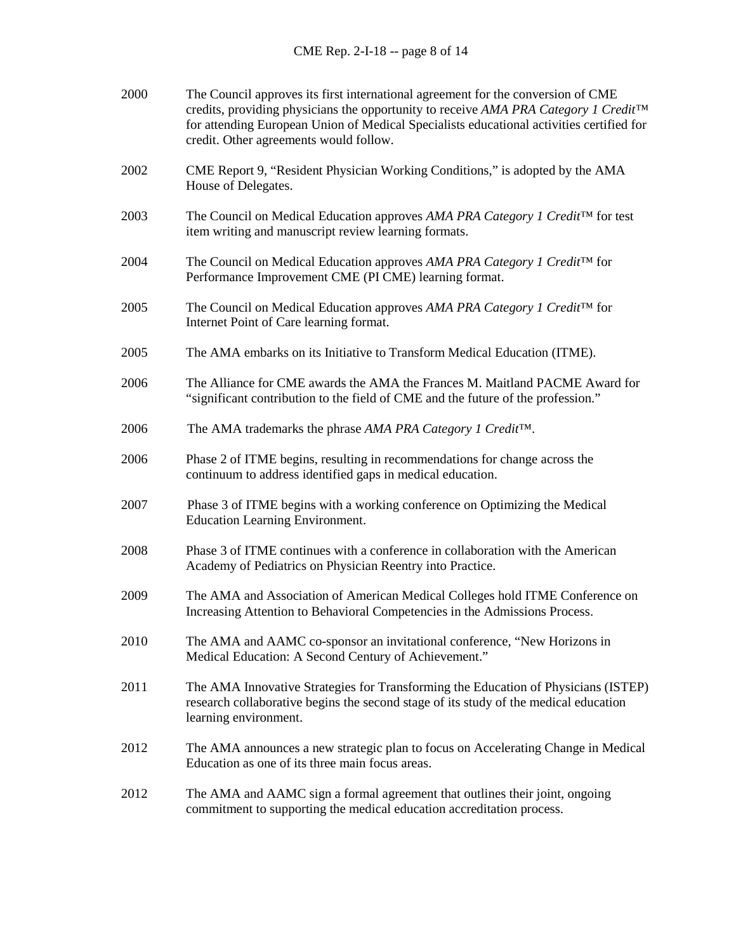| 2000 | The Council approves its first international agreement for the conversion of CME<br>credits, providing physicians the opportunity to receive AMA PRA Category 1 Credit <sup>TM</sup><br>for attending European Union of Medical Specialists educational activities certified for<br>credit. Other agreements would follow. |
|------|----------------------------------------------------------------------------------------------------------------------------------------------------------------------------------------------------------------------------------------------------------------------------------------------------------------------------|
| 2002 | CME Report 9, "Resident Physician Working Conditions," is adopted by the AMA<br>House of Delegates.                                                                                                                                                                                                                        |
| 2003 | The Council on Medical Education approves AMA PRA Category 1 Credit <sup>™</sup> for test<br>item writing and manuscript review learning formats.                                                                                                                                                                          |
| 2004 | The Council on Medical Education approves AMA PRA Category 1 Credit™ for<br>Performance Improvement CME (PI CME) learning format.                                                                                                                                                                                          |
| 2005 | The Council on Medical Education approves AMA PRA Category 1 Credit <sup>™</sup> for<br>Internet Point of Care learning format.                                                                                                                                                                                            |
| 2005 | The AMA embarks on its Initiative to Transform Medical Education (ITME).                                                                                                                                                                                                                                                   |
| 2006 | The Alliance for CME awards the AMA the Frances M. Maitland PACME Award for<br>"significant contribution to the field of CME and the future of the profession."                                                                                                                                                            |
| 2006 | The AMA trademarks the phrase AMA PRA Category 1 Credit <sup>TM</sup> .                                                                                                                                                                                                                                                    |
| 2006 | Phase 2 of ITME begins, resulting in recommendations for change across the<br>continuum to address identified gaps in medical education.                                                                                                                                                                                   |
| 2007 | Phase 3 of ITME begins with a working conference on Optimizing the Medical<br><b>Education Learning Environment.</b>                                                                                                                                                                                                       |
| 2008 | Phase 3 of ITME continues with a conference in collaboration with the American<br>Academy of Pediatrics on Physician Reentry into Practice.                                                                                                                                                                                |
| 2009 | The AMA and Association of American Medical Colleges hold ITME Conference on<br>Increasing Attention to Behavioral Competencies in the Admissions Process.                                                                                                                                                                 |
| 2010 | The AMA and AAMC co-sponsor an invitational conference, "New Horizons in<br>Medical Education: A Second Century of Achievement."                                                                                                                                                                                           |
| 2011 | The AMA Innovative Strategies for Transforming the Education of Physicians (ISTEP)<br>research collaborative begins the second stage of its study of the medical education<br>learning environment.                                                                                                                        |
| 2012 | The AMA announces a new strategic plan to focus on Accelerating Change in Medical<br>Education as one of its three main focus areas.                                                                                                                                                                                       |
| 2012 | The AMA and AAMC sign a formal agreement that outlines their joint, ongoing<br>commitment to supporting the medical education accreditation process.                                                                                                                                                                       |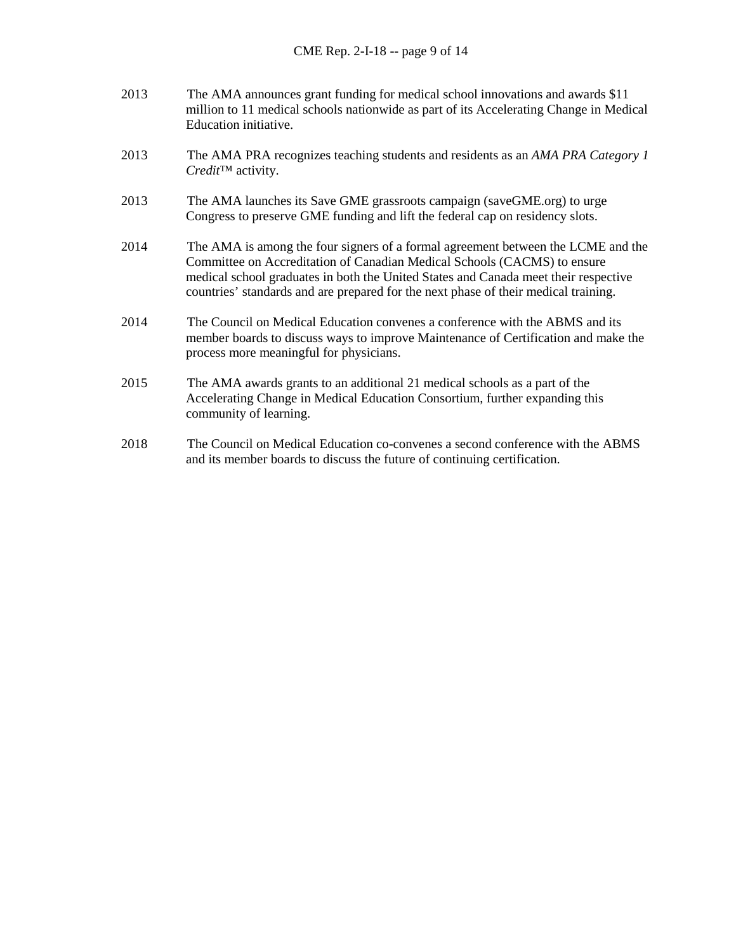- 2013 The AMA announces grant funding for medical school innovations and awards \$11 million to 11 medical schools nationwide as part of its Accelerating Change in Medical Education initiative.
- 2013 The AMA PRA recognizes teaching students and residents as an *AMA PRA Category 1 Credit*™ activity.
- 2013 The AMA launches its Save GME grassroots campaign (saveGME.org) to urge Congress to preserve GME funding and lift the federal cap on residency slots.
- 2014 The AMA is among the four signers of a formal agreement between the LCME and the Committee on Accreditation of Canadian Medical Schools (CACMS) to ensure medical school graduates in both the United States and Canada meet their respective countries' standards and are prepared for the next phase of their medical training.
- 2014 The Council on Medical Education convenes a conference with the ABMS and its member boards to discuss ways to improve Maintenance of Certification and make the process more meaningful for physicians.
- 2015 The AMA awards grants to an additional 21 medical schools as a part of the Accelerating Change in Medical Education Consortium, further expanding this community of learning.
- 2018 The Council on Medical Education co-convenes a second conference with the ABMS and its member boards to discuss the future of continuing certification.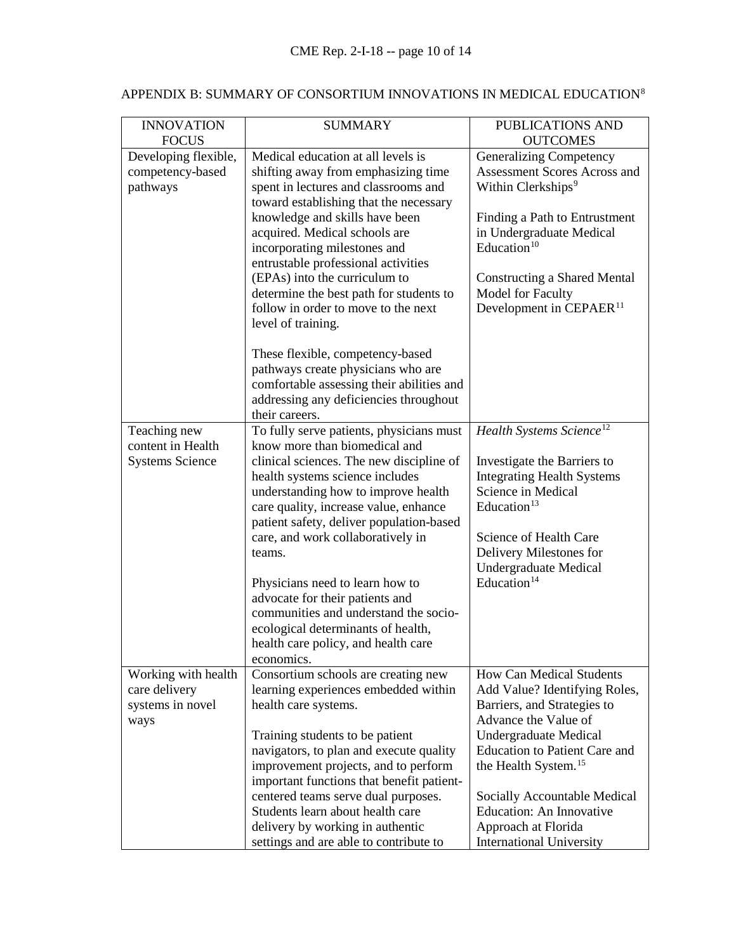| <b>INNOVATION</b><br><b>FOCUS</b>                                | <b>SUMMARY</b>                                                                                                                                                                                                                                                                                                                                                                                                                                                                                                                  | <b>PUBLICATIONS AND</b><br><b>OUTCOMES</b>                                                                                                                                                                                                                                                                                                                |
|------------------------------------------------------------------|---------------------------------------------------------------------------------------------------------------------------------------------------------------------------------------------------------------------------------------------------------------------------------------------------------------------------------------------------------------------------------------------------------------------------------------------------------------------------------------------------------------------------------|-----------------------------------------------------------------------------------------------------------------------------------------------------------------------------------------------------------------------------------------------------------------------------------------------------------------------------------------------------------|
| Developing flexible,<br>competency-based<br>pathways             | Medical education at all levels is<br>shifting away from emphasizing time<br>spent in lectures and classrooms and<br>toward establishing that the necessary<br>knowledge and skills have been<br>acquired. Medical schools are<br>incorporating milestones and<br>entrustable professional activities<br>(EPAs) into the curriculum to<br>determine the best path for students to<br>follow in order to move to the next<br>level of training.                                                                                  | <b>Generalizing Competency</b><br>Assessment Scores Across and<br>Within Clerkships <sup>9</sup><br>Finding a Path to Entrustment<br>in Undergraduate Medical<br>Education $10$<br><b>Constructing a Shared Mental</b><br>Model for Faculty<br>Development in CEPAER <sup>11</sup>                                                                        |
|                                                                  | These flexible, competency-based<br>pathways create physicians who are<br>comfortable assessing their abilities and<br>addressing any deficiencies throughout<br>their careers.                                                                                                                                                                                                                                                                                                                                                 |                                                                                                                                                                                                                                                                                                                                                           |
| Teaching new<br>content in Health<br><b>Systems Science</b>      | To fully serve patients, physicians must<br>know more than biomedical and<br>clinical sciences. The new discipline of<br>health systems science includes<br>understanding how to improve health<br>care quality, increase value, enhance<br>patient safety, deliver population-based<br>care, and work collaboratively in<br>teams.<br>Physicians need to learn how to<br>advocate for their patients and<br>communities and understand the socio-<br>ecological determinants of health,<br>health care policy, and health care | Health Systems Science <sup>12</sup><br>Investigate the Barriers to<br><b>Integrating Health Systems</b><br>Science in Medical<br>Education $13$<br>Science of Health Care<br>Delivery Milestones for<br><b>Undergraduate Medical</b><br>Education <sup>14</sup>                                                                                          |
| Working with health<br>care delivery<br>systems in novel<br>ways | economics.<br>Consortium schools are creating new<br>learning experiences embedded within<br>health care systems.<br>Training students to be patient<br>navigators, to plan and execute quality<br>improvement projects, and to perform<br>important functions that benefit patient-<br>centered teams serve dual purposes.<br>Students learn about health care<br>delivery by working in authentic<br>settings and are able to contribute to                                                                                   | <b>How Can Medical Students</b><br>Add Value? Identifying Roles,<br>Barriers, and Strategies to<br>Advance the Value of<br>Undergraduate Medical<br><b>Education to Patient Care and</b><br>the Health System. <sup>15</sup><br>Socially Accountable Medical<br><b>Education: An Innovative</b><br>Approach at Florida<br><b>International University</b> |

# APPENDIX B: SUMMARY OF CONSORTIUM INNOVATIONS IN MEDICAL EDUCATION  $^8$  $^8$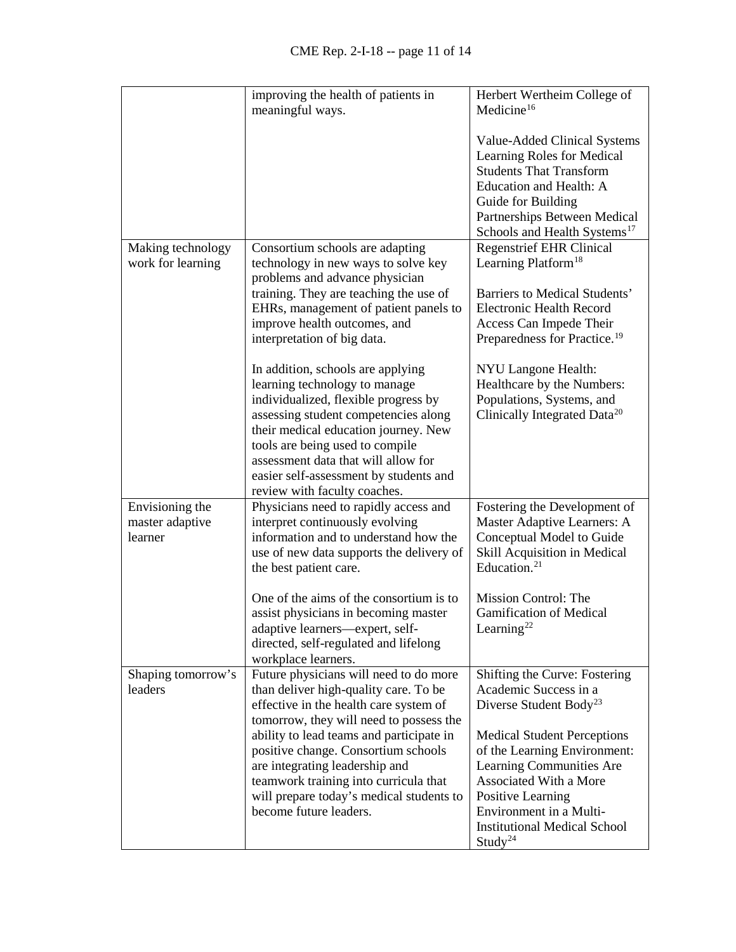|                                               | improving the health of patients in<br>meaningful ways.                                                                                                                                                                                                                                                                                        | Herbert Wertheim College of<br>Medicine <sup>16</sup>                                                                                                                                                                                  |
|-----------------------------------------------|------------------------------------------------------------------------------------------------------------------------------------------------------------------------------------------------------------------------------------------------------------------------------------------------------------------------------------------------|----------------------------------------------------------------------------------------------------------------------------------------------------------------------------------------------------------------------------------------|
|                                               |                                                                                                                                                                                                                                                                                                                                                | Value-Added Clinical Systems<br>Learning Roles for Medical<br><b>Students That Transform</b><br>Education and Health: A<br>Guide for Building<br>Partnerships Between Medical<br>Schools and Health Systems <sup>17</sup>              |
| Making technology<br>work for learning        | Consortium schools are adapting<br>technology in new ways to solve key<br>problems and advance physician<br>training. They are teaching the use of<br>EHRs, management of patient panels to<br>improve health outcomes, and<br>interpretation of big data.                                                                                     | <b>Regenstrief EHR Clinical</b><br>Learning Platform <sup>18</sup><br>Barriers to Medical Students'<br><b>Electronic Health Record</b><br>Access Can Impede Their<br>Preparedness for Practice. <sup>19</sup>                          |
|                                               | In addition, schools are applying<br>learning technology to manage<br>individualized, flexible progress by<br>assessing student competencies along<br>their medical education journey. New<br>tools are being used to compile<br>assessment data that will allow for<br>easier self-assessment by students and<br>review with faculty coaches. | NYU Langone Health:<br>Healthcare by the Numbers:<br>Populations, Systems, and<br>Clinically Integrated Data <sup>20</sup>                                                                                                             |
| Envisioning the<br>master adaptive<br>learner | Physicians need to rapidly access and<br>interpret continuously evolving<br>information and to understand how the<br>use of new data supports the delivery of<br>the best patient care.                                                                                                                                                        | Fostering the Development of<br>Master Adaptive Learners: A<br>Conceptual Model to Guide<br>Skill Acquisition in Medical<br>Education. $21$                                                                                            |
|                                               | One of the aims of the consortium is to<br>assist physicians in becoming master<br>adaptive learners—expert, self-<br>directed, self-regulated and lifelong<br>workplace learners.                                                                                                                                                             | Mission Control: The<br><b>Gamification of Medical</b><br>Learning <sup>22</sup>                                                                                                                                                       |
| Shaping tomorrow's<br>leaders                 | Future physicians will need to do more<br>than deliver high-quality care. To be<br>effective in the health care system of<br>tomorrow, they will need to possess the                                                                                                                                                                           | Shifting the Curve: Fostering<br>Academic Success in a<br>Diverse Student Body <sup>23</sup>                                                                                                                                           |
|                                               | ability to lead teams and participate in<br>positive change. Consortium schools<br>are integrating leadership and<br>teamwork training into curricula that<br>will prepare today's medical students to<br>become future leaders.                                                                                                               | <b>Medical Student Perceptions</b><br>of the Learning Environment:<br>Learning Communities Are<br>Associated With a More<br>Positive Learning<br>Environment in a Multi-<br><b>Institutional Medical School</b><br>Study <sup>24</sup> |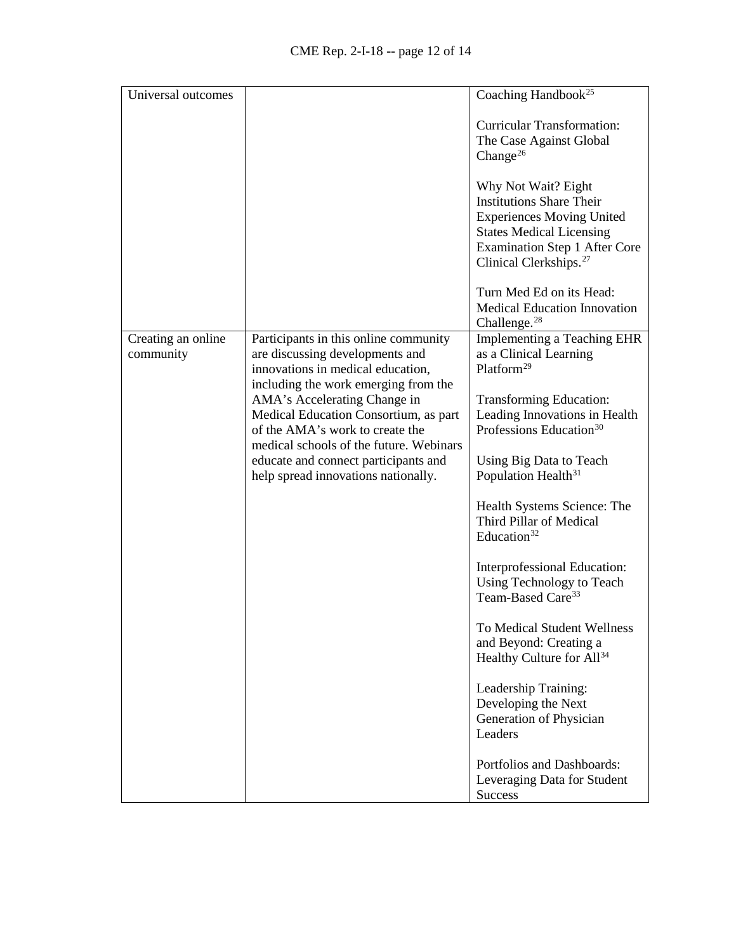| Universal outcomes              |                                                                                                                                                                                             | Coaching Handbook <sup>25</sup>                                                                                                                                                                             |
|---------------------------------|---------------------------------------------------------------------------------------------------------------------------------------------------------------------------------------------|-------------------------------------------------------------------------------------------------------------------------------------------------------------------------------------------------------------|
|                                 |                                                                                                                                                                                             | <b>Curricular Transformation:</b><br>The Case Against Global<br>Change <sup>26</sup>                                                                                                                        |
|                                 |                                                                                                                                                                                             | Why Not Wait? Eight<br><b>Institutions Share Their</b><br><b>Experiences Moving United</b><br><b>States Medical Licensing</b><br><b>Examination Step 1 After Core</b><br>Clinical Clerkships. <sup>27</sup> |
|                                 |                                                                                                                                                                                             | Turn Med Ed on its Head:<br>Medical Education Innovation<br>Challenge. $28$                                                                                                                                 |
| Creating an online<br>community | Participants in this online community<br>are discussing developments and<br>innovations in medical education,                                                                               | <b>Implementing a Teaching EHR</b><br>as a Clinical Learning<br>Platform <sup>29</sup>                                                                                                                      |
|                                 | including the work emerging from the<br>AMA's Accelerating Change in<br>Medical Education Consortium, as part<br>of the AMA's work to create the<br>medical schools of the future. Webinars | <b>Transforming Education:</b><br>Leading Innovations in Health<br>Professions Education <sup>30</sup>                                                                                                      |
|                                 | educate and connect participants and<br>help spread innovations nationally.                                                                                                                 | Using Big Data to Teach<br>Population Health <sup>31</sup>                                                                                                                                                  |
|                                 |                                                                                                                                                                                             | Health Systems Science: The<br>Third Pillar of Medical<br>Education <sup>32</sup>                                                                                                                           |
|                                 |                                                                                                                                                                                             | Interprofessional Education:<br>Using Technology to Teach<br>Team-Based Care <sup>33</sup>                                                                                                                  |
|                                 |                                                                                                                                                                                             | To Medical Student Wellness<br>and Beyond: Creating a<br>Healthy Culture for All <sup>34</sup>                                                                                                              |
|                                 |                                                                                                                                                                                             | Leadership Training:<br>Developing the Next<br>Generation of Physician<br>Leaders                                                                                                                           |
|                                 |                                                                                                                                                                                             | Portfolios and Dashboards:<br>Leveraging Data for Student<br><b>Success</b>                                                                                                                                 |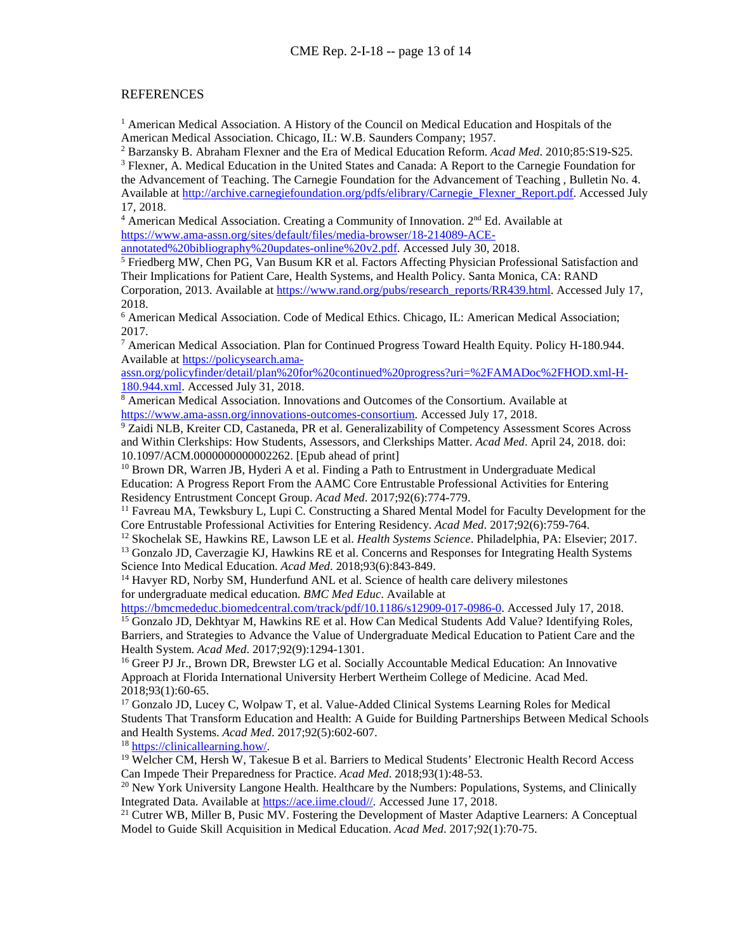#### REFERENCES

<span id="page-12-0"></span><sup>1</sup> American Medical Association. A History of the Council on Medical Education and Hospitals of the American Medical Association. Chicago, IL: W.B. Saunders Company; 1957.

<span id="page-12-2"></span><span id="page-12-1"></span><sup>2</sup> Barzansky B. Abraham Flexner and the Era of Medical Education Reform. *Acad Med*. 2010;85:S19-S25. <sup>3</sup> Flexner, A. Medical Education in the United States and Canada: A Report to the Carnegie Foundation for the Advancement of Teaching. The Carnegie Foundation for the Advancement of Teaching , Bulletin No. 4. Available at [http://archive.carnegiefoundation.org/pdfs/elibrary/Carnegie\\_Flexner\\_Report.pdf.](http://archive.carnegiefoundation.org/pdfs/elibrary/Carnegie_Flexner_Report.pdf) Accessed July

17, 2018.

<span id="page-12-3"></span><sup>4</sup> American Medical Association. Creating a Community of Innovation.  $2<sup>nd</sup> Ed$ . Available at https://www.ama-assn.org/sites/default/files/media-browser/18-214089-ACE-<br>annotated%20bibliography%20updates-online%20v2.pdf. Accessed July 30, 2018.

<span id="page-12-4"></span><sup>5</sup> Friedberg MW, Chen PG, Van Busum KR et al. Factors Affecting Physician Professional Satisfaction and Their Implications for Patient Care, Health Systems, and Health Policy. Santa Monica, CA: RAND Corporation, 2013. Available at [https://www.rand.org/pubs/research\\_reports/RR439.html.](https://www.rand.org/pubs/research_reports/RR439.html) Accessed July 17, 2018.

<span id="page-12-5"></span><sup>6</sup> American Medical Association. Code of Medical Ethics. Chicago, IL: American Medical Association; 2017.

<span id="page-12-6"></span><sup>7</sup> American Medical Association. Plan for Continued Progress Toward Health Equity. Policy H-180.944. Available at [https://policysearch.ama-](https://policysearch.ama-assn.org/policyfinder/detail/plan%20for%20continued%20progress?uri=%2FAMADoc%2FHOD.xml-H-180.944.xml)

[assn.org/policyfinder/detail/plan%20for%20continued%20progress?uri=%2FAMADoc%2FHOD.xml-H-](https://policysearch.ama-assn.org/policyfinder/detail/plan%20for%20continued%20progress?uri=%2FAMADoc%2FHOD.xml-H-180.944.xml)[180.944.xml.](https://policysearch.ama-assn.org/policyfinder/detail/plan%20for%20continued%20progress?uri=%2FAMADoc%2FHOD.xml-H-180.944.xml) Accessed July 31, 2018.<br><sup>8</sup> American Medical Association. Innovations and Outcomes of the Consortium. Available at

<span id="page-12-7"></span>[https://www.ama-assn.org/innovations-outcomes-consortium.](https://www.ama-assn.org/innovations-outcomes-consortium) Accessed July 17, 2018.

<span id="page-12-8"></span><sup>9</sup> Zaidi NLB, Kreiter CD, Castaneda, PR et al. Generalizability of Competency Assessment Scores Across and Within Clerkships: How Students, Assessors, and Clerkships Matter. *Acad Med*. April 24, 2018. doi: 10.1097/ACM.0000000000002262. [Epub ahead of print]

<span id="page-12-9"></span><sup>10</sup> Brown DR, Warren JB, Hyderi A et al. Finding a Path to Entrustment in Undergraduate Medical Education: A Progress Report From the AAMC Core Entrustable Professional Activities for Entering Residency Entrustment Concept Group. *Acad Med*. 2017;92(6):774-779.

<span id="page-12-10"></span><sup>11</sup> Favreau MA, Tewksbury L, Lupi C. Constructing a Shared Mental Model for Faculty Development for the Core Entrustable Professional Activities for Entering Residency. *Acad Med*. 2017;92(6):759-764. 12 Skochelak SE, Hawkins RE, Lawson LE et al. *Health Systems Science*. Philadelphia, PA: Elsevier; 2017.

<span id="page-12-11"></span>

<span id="page-12-12"></span><sup>13</sup> Gonzalo JD, Caverzagie KJ, Hawkins RE et al. Concerns and Responses for Integrating Health Systems Science Into Medical Education. *Acad Med.* 2018;93(6):843-849.<br><sup>14</sup> Havyer RD, Norby SM, Hunderfund ANL et al. Science of health care delivery milestones

<span id="page-12-13"></span>for undergraduate medical education. *BMC Med Educ*. Available at

[https://bmcmededuc.biomedcentral.com/track/pdf/10.1186/s12909-017-0986-0.](https://bmcmededuc.biomedcentral.com/track/pdf/10.1186/s12909-017-0986-0) Accessed July 17, 2018.

<span id="page-12-14"></span><sup>15</sup> Gonzalo JD, Dekhtyar M, Hawkins RE et al. How Can Medical Students Add Value? Identifying Roles, Barriers, and Strategies to Advance the Value of Undergraduate Medical Education to Patient Care and the Health System. *Acad Med.* 2017;92(9):1294-1301.<br><sup>16</sup> Greer PJ Jr., Brown DR, Brewster LG et al. Socially Accountable Medical Education: An Innovative

<span id="page-12-15"></span>Approach at Florida International University Herbert Wertheim College of Medicine. Acad Med. 2018;93(1):60-65. 17 Gonzalo JD, Lucey C, Wolpaw T, et al. Value-Added Clinical Systems Learning Roles for Medical

<span id="page-12-16"></span>Students That Transform Education and Health: A Guide for Building Partnerships Between Medical Schools and Health Systems. *Acad Med*. 2017;92(5):602-607.<br><sup>18</sup> https://clinicallearning.how/.<br><sup>19</sup> Welcher CM, Hersh W, Takesue B et al. Barriers to Medical Students' Electronic Health Record Access

<span id="page-12-18"></span><span id="page-12-17"></span>Can Impede Their Preparedness for Practice. *Acad Med*. 2018;93(1):48-53.

<span id="page-12-19"></span><sup>20</sup> New York University Langone Health. Healthcare by the Numbers: Populations, Systems, and Clinically Integrated Data. Available at  $\frac{h}{h}$  https://ace.iime.cloud//. Accessed June 17, 2018.

<span id="page-12-20"></span><sup>21</sup> Cutrer WB, Miller B, Pusic MV. Fostering the Development of Master Adaptive Learners: A Conceptual Model to Guide Skill Acquisition in Medical Education. *Acad Med*. 2017;92(1):70-75.